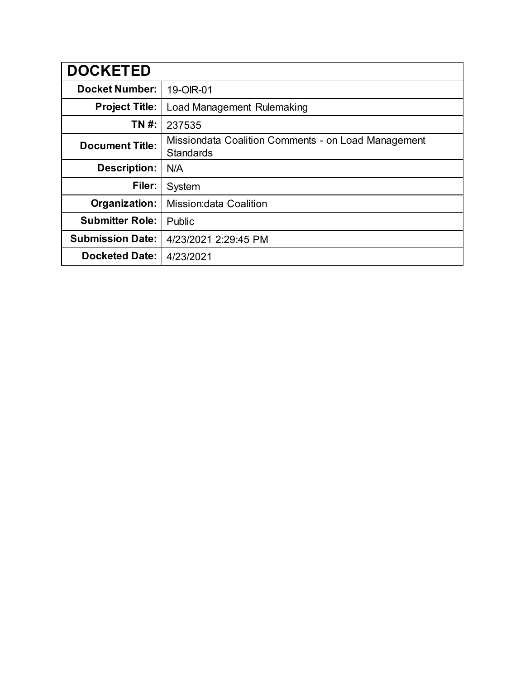| <b>DOCKETED</b>         |                                                                         |
|-------------------------|-------------------------------------------------------------------------|
| <b>Docket Number:</b>   | 19-OIR-01                                                               |
| <b>Project Title:</b>   | <b>Load Management Rulemaking</b>                                       |
| TN #:                   | 237535                                                                  |
| <b>Document Title:</b>  | Missiondata Coalition Comments - on Load Management<br><b>Standards</b> |
| <b>Description:</b>     | N/A                                                                     |
| Filer:                  | System                                                                  |
| Organization:           | <b>Mission: data Coalition</b>                                          |
| <b>Submitter Role:</b>  | Public                                                                  |
| <b>Submission Date:</b> | 4/23/2021 2:29:45 PM                                                    |
| <b>Docketed Date:</b>   | 4/23/2021                                                               |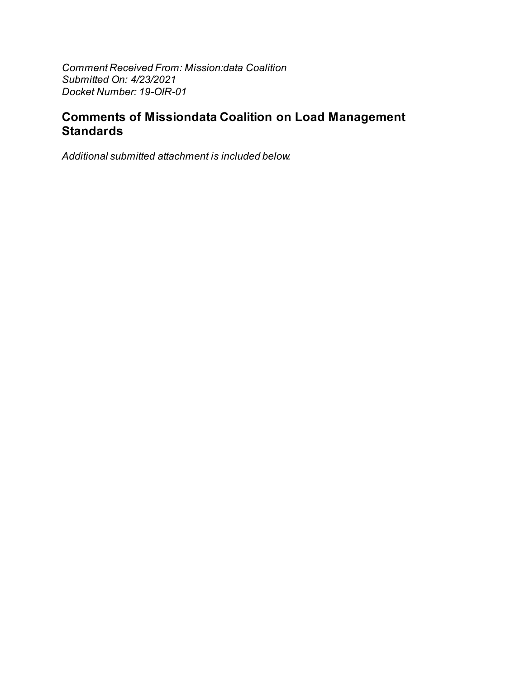Comment Received From: Mission: data Coalition Submitted On: 4/23/2021 Docket Number: 19-OIR-01

## **Comments of Missiondata Coalition on Load Management Standards**

Additional submitted attachment is included below.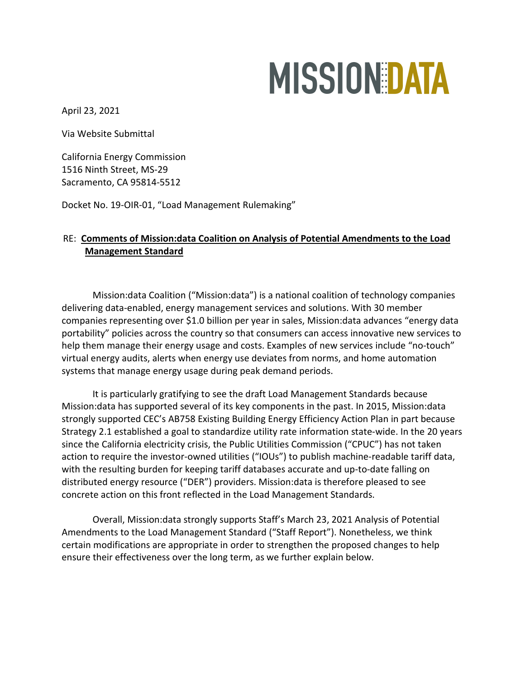# **MISSION DATA**

April 23, 2021

Via Website Submittal

California Energy Commission 1516 Ninth Street, MS-29 Sacramento, CA 95814-5512

Docket No. 19-OIR-01, "Load Management Rulemaking"

### RE: **Comments of Mission:data Coalition on Analysis of Potential Amendments to the Load Management Standard**

Mission:data Coalition ("Mission:data") is a national coalition of technology companies delivering data-enabled, energy management services and solutions. With 30 member companies representing over \$1.0 billion per year in sales, Mission:data advances "energy data portability" policies across the country so that consumers can access innovative new services to help them manage their energy usage and costs. Examples of new services include "no-touch" virtual energy audits, alerts when energy use deviates from norms, and home automation systems that manage energy usage during peak demand periods.

It is particularly gratifying to see the draft Load Management Standards because Mission:data has supported several of its key components in the past. In 2015, Mission:data strongly supported CEC's AB758 Existing Building Energy Efficiency Action Plan in part because Strategy 2.1 established a goal to standardize utility rate information state-wide. In the 20 years since the California electricity crisis, the Public Utilities Commission ("CPUC") has not taken action to require the investor-owned utilities ("IOUs") to publish machine-readable tariff data, with the resulting burden for keeping tariff databases accurate and up-to-date falling on distributed energy resource ("DER") providers. Mission:data is therefore pleased to see concrete action on this front reflected in the Load Management Standards.

Overall, Mission:data strongly supports Staff's March 23, 2021 Analysis of Potential Amendments to the Load Management Standard ("Staff Report"). Nonetheless, we think certain modifications are appropriate in order to strengthen the proposed changes to help ensure their effectiveness over the long term, as we further explain below.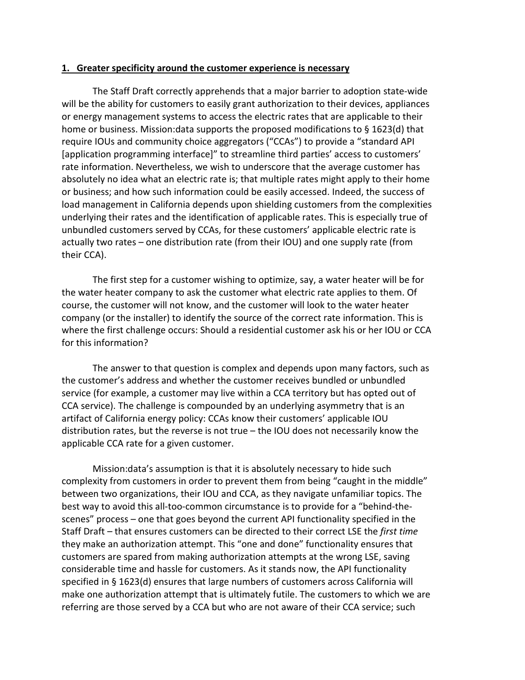#### **1. Greater specificity around the customer experience is necessary**

The Staff Draft correctly apprehends that a major barrier to adoption state-wide will be the ability for customers to easily grant authorization to their devices, appliances or energy management systems to access the electric rates that are applicable to their home or business. Mission:data supports the proposed modifications to § 1623(d) that require IOUs and community choice aggregators ("CCAs") to provide a "standard API [application programming interface]" to streamline third parties' access to customers' rate information. Nevertheless, we wish to underscore that the average customer has absolutely no idea what an electric rate is; that multiple rates might apply to their home or business; and how such information could be easily accessed. Indeed, the success of load management in California depends upon shielding customers from the complexities underlying their rates and the identification of applicable rates. This is especially true of unbundled customers served by CCAs, for these customers' applicable electric rate is actually two rates – one distribution rate (from their IOU) and one supply rate (from their CCA).

The first step for a customer wishing to optimize, say, a water heater will be for the water heater company to ask the customer what electric rate applies to them. Of course, the customer will not know, and the customer will look to the water heater company (or the installer) to identify the source of the correct rate information. This is where the first challenge occurs: Should a residential customer ask his or her IOU or CCA for this information?

The answer to that question is complex and depends upon many factors, such as the customer's address and whether the customer receives bundled or unbundled service (for example, a customer may live within a CCA territory but has opted out of CCA service). The challenge is compounded by an underlying asymmetry that is an artifact of California energy policy: CCAs know their customers' applicable IOU distribution rates, but the reverse is not true – the IOU does not necessarily know the applicable CCA rate for a given customer.

Mission:data's assumption is that it is absolutely necessary to hide such complexity from customers in order to prevent them from being "caught in the middle" between two organizations, their IOU and CCA, as they navigate unfamiliar topics. The best way to avoid this all-too-common circumstance is to provide for a "behind-thescenes" process – one that goes beyond the current API functionality specified in the Staff Draft – that ensures customers can be directed to their correct LSE the *first time* they make an authorization attempt. This "one and done" functionality ensures that customers are spared from making authorization attempts at the wrong LSE, saving considerable time and hassle for customers. As it stands now, the API functionality specified in § 1623(d) ensures that large numbers of customers across California will make one authorization attempt that is ultimately futile. The customers to which we are referring are those served by a CCA but who are not aware of their CCA service; such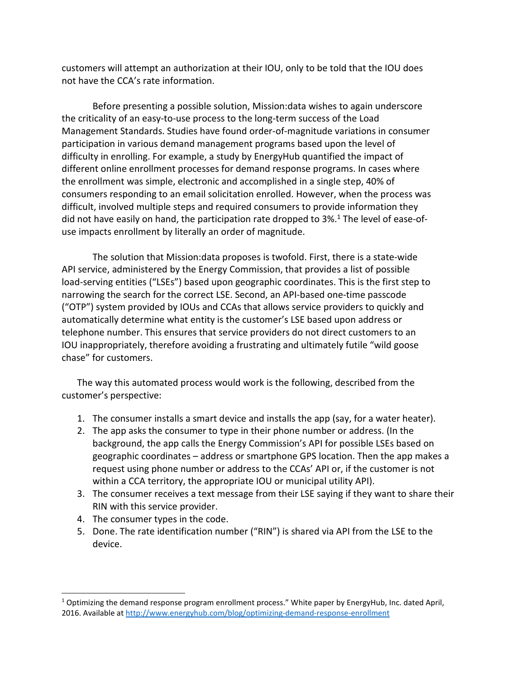customers will attempt an authorization at their IOU, only to be told that the IOU does not have the CCA's rate information.

Before presenting a possible solution, Mission:data wishes to again underscore the criticality of an easy-to-use process to the long-term success of the Load Management Standards. Studies have found order-of-magnitude variations in consumer participation in various demand management programs based upon the level of difficulty in enrolling. For example, a study by EnergyHub quantified the impact of different online enrollment processes for demand response programs. In cases where the enrollment was simple, electronic and accomplished in a single step, 40% of consumers responding to an email solicitation enrolled. However, when the process was difficult, involved multiple steps and required consumers to provide information they did not have easily on hand, the participation rate dropped to 3%.<sup>1</sup> The level of ease-ofuse impacts enrollment by literally an order of magnitude.

The solution that Mission:data proposes is twofold. First, there is a state-wide API service, administered by the Energy Commission, that provides a list of possible load-serving entities ("LSEs") based upon geographic coordinates. This is the first step to narrowing the search for the correct LSE. Second, an API-based one-time passcode ("OTP") system provided by IOUs and CCAs that allows service providers to quickly and automatically determine what entity is the customer's LSE based upon address or telephone number. This ensures that service providers do not direct customers to an IOU inappropriately, therefore avoiding a frustrating and ultimately futile "wild goose chase" for customers.

The way this automated process would work is the following, described from the customer's perspective:

- 1. The consumer installs a smart device and installs the app (say, for a water heater).
- 2. The app asks the consumer to type in their phone number or address. (In the background, the app calls the Energy Commission's API for possible LSEs based on geographic coordinates – address or smartphone GPS location. Then the app makes a request using phone number or address to the CCAs' API or, if the customer is not within a CCA territory, the appropriate IOU or municipal utility API).
- 3. The consumer receives a text message from their LSE saying if they want to share their RIN with this service provider.
- 4. The consumer types in the code.

 $\overline{a}$ 

5. Done. The rate identification number ("RIN") is shared via API from the LSE to the device.

<sup>&</sup>lt;sup>1</sup> Optimizing the demand response program enrollment process." White paper by EnergyHub, Inc. dated April, 2016. Available at http://www.energyhub.com/blog/optimizing-demand-response-enrollment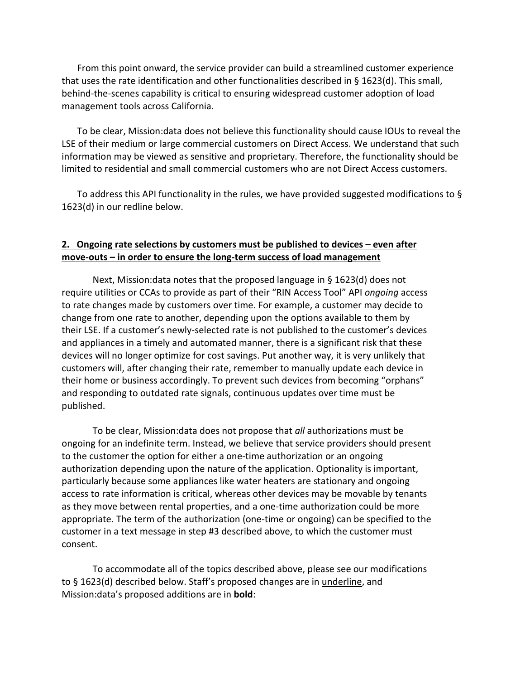From this point onward, the service provider can build a streamlined customer experience that uses the rate identification and other functionalities described in § 1623(d). This small, behind-the-scenes capability is critical to ensuring widespread customer adoption of load management tools across California.

To be clear, Mission:data does not believe this functionality should cause IOUs to reveal the LSE of their medium or large commercial customers on Direct Access. We understand that such information may be viewed as sensitive and proprietary. Therefore, the functionality should be limited to residential and small commercial customers who are not Direct Access customers.

To address this API functionality in the rules, we have provided suggested modifications to § 1623(d) in our redline below.

#### **2. Ongoing rate selections by customers must be published to devices – even after move-outs – in order to ensure the long-term success of load management**

Next, Mission:data notes that the proposed language in § 1623(d) does not require utilities or CCAs to provide as part of their "RIN Access Tool" API *ongoing* access to rate changes made by customers over time. For example, a customer may decide to change from one rate to another, depending upon the options available to them by their LSE. If a customer's newly-selected rate is not published to the customer's devices and appliances in a timely and automated manner, there is a significant risk that these devices will no longer optimize for cost savings. Put another way, it is very unlikely that customers will, after changing their rate, remember to manually update each device in their home or business accordingly. To prevent such devices from becoming "orphans" and responding to outdated rate signals, continuous updates over time must be published.

To be clear, Mission:data does not propose that *all* authorizations must be ongoing for an indefinite term. Instead, we believe that service providers should present to the customer the option for either a one-time authorization or an ongoing authorization depending upon the nature of the application. Optionality is important, particularly because some appliances like water heaters are stationary and ongoing access to rate information is critical, whereas other devices may be movable by tenants as they move between rental properties, and a one-time authorization could be more appropriate. The term of the authorization (one-time or ongoing) can be specified to the customer in a text message in step #3 described above, to which the customer must consent.

To accommodate all of the topics described above, please see our modifications to § 1623(d) described below. Staff's proposed changes are in underline, and Mission:data's proposed additions are in **bold**: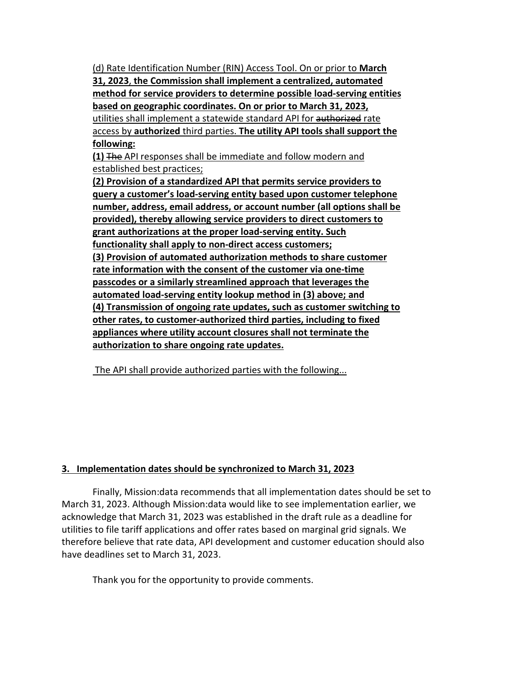(d) Rate Identification Number (RIN) Access Tool. On or prior to **March 31, 2023**, **the Commission shall implement a centralized, automated method for service providers to determine possible load-serving entities based on geographic coordinates. On or prior to March 31, 2023,** utilities shall implement a statewide standard API for authorized rate access by **authorized** third parties. **The utility API tools shall support the following:**

**(1)** The API responses shall be immediate and follow modern and established best practices;

**(2) Provision of a standardized API that permits service providers to query a customer's load-serving entity based upon customer telephone number, address, email address, or account number (all options shall be provided), thereby allowing service providers to direct customers to grant authorizations at the proper load-serving entity. Such functionality shall apply to non-direct access customers; (3) Provision of automated authorization methods to share customer rate information with the consent of the customer via one-time passcodes or a similarly streamlined approach that leverages the automated load-serving entity lookup method in (3) above; and (4) Transmission of ongoing rate updates, such as customer switching to other rates, to customer-authorized third parties, including to fixed appliances where utility account closures shall not terminate the authorization to share ongoing rate updates.**

The API shall provide authorized parties with the following...

## **3. Implementation dates should be synchronized to March 31, 2023**

Finally, Mission:data recommends that all implementation dates should be set to March 31, 2023. Although Mission:data would like to see implementation earlier, we acknowledge that March 31, 2023 was established in the draft rule as a deadline for utilities to file tariff applications and offer rates based on marginal grid signals. We therefore believe that rate data, API development and customer education should also have deadlines set to March 31, 2023.

Thank you for the opportunity to provide comments.